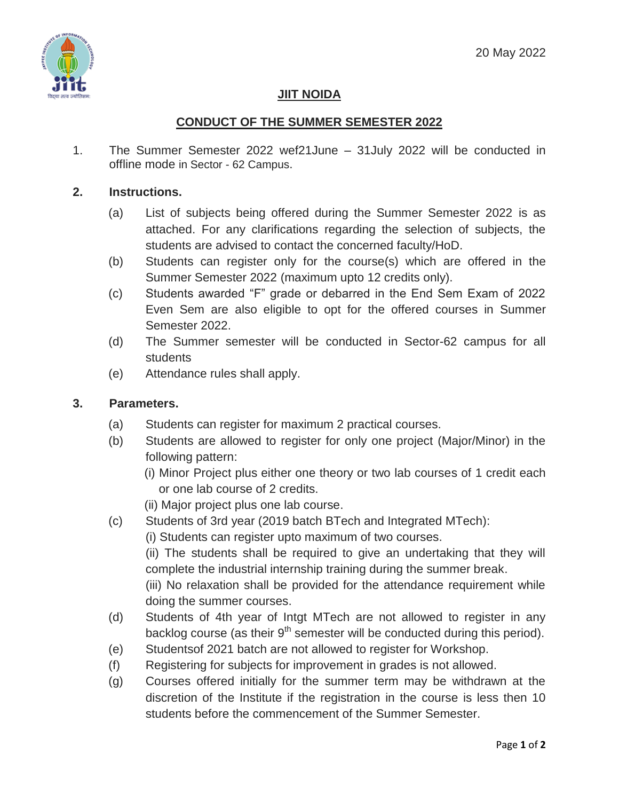

# **JIIT NOIDA**

## **CONDUCT OF THE SUMMER SEMESTER 2022**

1. The Summer Semester 2022 wef21June – 31July 2022 will be conducted in offline mode in Sector - 62 Campus.

### **2. Instructions.**

- (a) List of subjects being offered during the Summer Semester 2022 is as attached. For any clarifications regarding the selection of subjects, the students are advised to contact the concerned faculty/HoD.
- (b) Students can register only for the course(s) which are offered in the Summer Semester 2022 (maximum upto 12 credits only).
- (c) Students awarded "F" grade or debarred in the End Sem Exam of 2022 Even Sem are also eligible to opt for the offered courses in Summer Semester 2022.
- (d) The Summer semester will be conducted in Sector-62 campus for all students
- (e) Attendance rules shall apply.

### **3. Parameters.**

- (a) Students can register for maximum 2 practical courses.
- (b) Students are allowed to register for only one project (Major/Minor) in the following pattern:
	- (i) Minor Project plus either one theory or two lab courses of 1 credit each or one lab course of 2 credits.
	- (ii) Major project plus one lab course.
- (c) Students of 3rd year (2019 batch BTech and Integrated MTech):

(ii) The students shall be required to give an undertaking that they will complete the industrial internship training during the summer break.

(iii) No relaxation shall be provided for the attendance requirement while doing the summer courses.

- (d) Students of 4th year of Intgt MTech are not allowed to register in any backlog course (as their  $9<sup>th</sup>$  semester will be conducted during this period).
- (e) Studentsof 2021 batch are not allowed to register for Workshop.
- (f) Registering for subjects for improvement in grades is not allowed.
- (g) Courses offered initially for the summer term may be withdrawn at the discretion of the Institute if the registration in the course is less then 10 students before the commencement of the Summer Semester.

<sup>(</sup>i) Students can register upto maximum of two courses.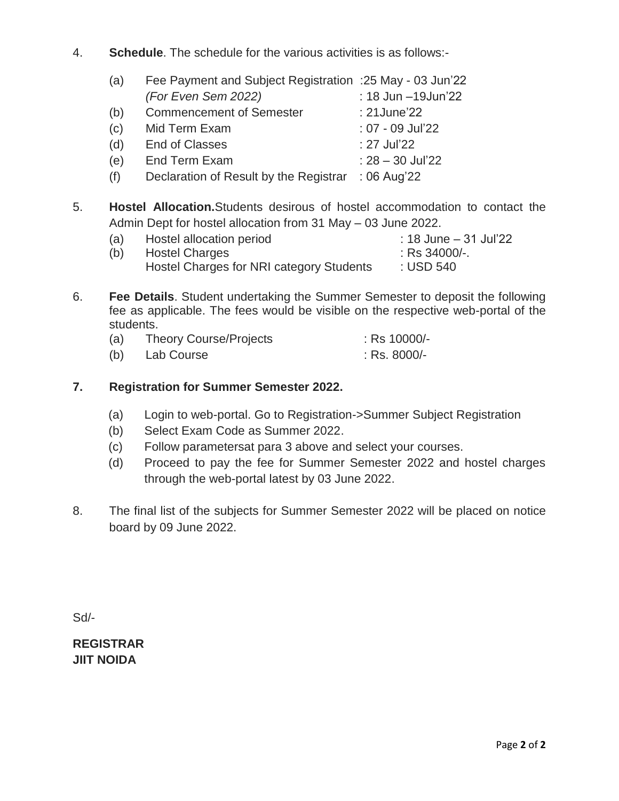4. **Schedule**. The schedule for the various activities is as follows:-

| (a) | Fee Payment and Subject Registration : 25 May - 03 Jun'22 |                     |
|-----|-----------------------------------------------------------|---------------------|
|     | (For Even Sem 2022)                                       | : 18 Jun -19 Jun'22 |
| (b) | <b>Commencement of Semester</b>                           | : 21 June 22        |
| (c) | Mid Term Exam                                             | : 07 - 09 Jul'22    |
| (d) | <b>End of Classes</b>                                     | : 27 Jul'22         |
| (e) | <b>End Term Exam</b>                                      | $: 28 - 30$ Jul'22  |
| (f) | Declaration of Result by the Registrar                    | : 06 Aug'22         |

5. **Hostel Allocation.**Students desirous of hostel accommodation to contact the Admin Dept for hostel allocation from 31 May – 03 June 2022.

| (a) | Hostel allocation period                 | : 18 June - 31 Jul'22 |
|-----|------------------------------------------|-----------------------|
| (b) | <b>Hostel Charges</b>                    | $:$ Rs 34000/-.       |
|     | Hostel Charges for NRI category Students | : USD 540             |

6. **Fee Details**. Student undertaking the Summer Semester to deposit the following fee as applicable. The fees would be visible on the respective web-portal of the students.

| (a) | <b>Theory Course/Projects</b> | $:$ Rs 10000/- |
|-----|-------------------------------|----------------|
| (b) | Lab Course                    | $:$ Rs. 8000/- |

## **7. Registration for Summer Semester 2022.**

- (a) Login to web-portal. Go to Registration->Summer Subject Registration
- (b) Select Exam Code as Summer 2022.
- (c) Follow parametersat para 3 above and select your courses.
- (d) Proceed to pay the fee for Summer Semester 2022 and hostel charges through the web-portal latest by 03 June 2022.
- 8. The final list of the subjects for Summer Semester 2022 will be placed on notice board by 09 June 2022.

Sd/-

**REGISTRAR JIIT NOIDA**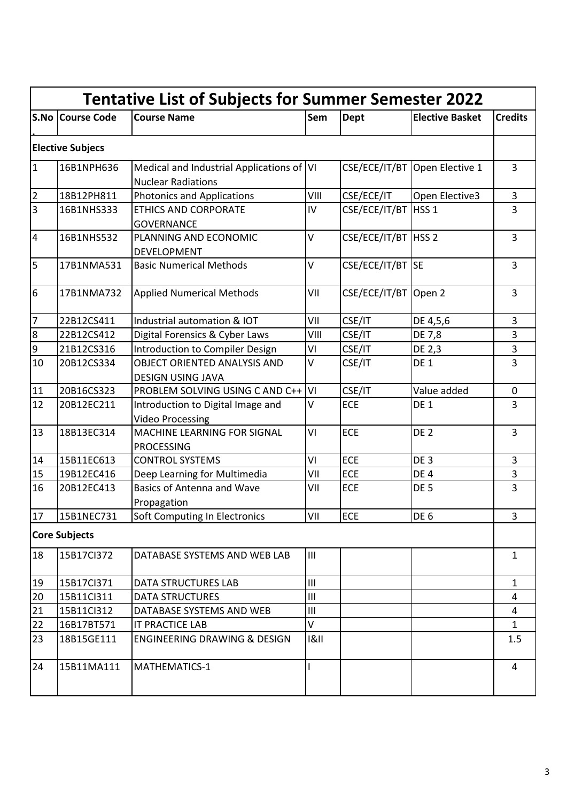| <b>Tentative List of Subjects for Summer Semester 2022</b> |                         |                                                                        |        |                       |                        |                |
|------------------------------------------------------------|-------------------------|------------------------------------------------------------------------|--------|-----------------------|------------------------|----------------|
|                                                            | <b>S.No Course Code</b> | <b>Course Name</b>                                                     | Sem    | <b>Dept</b>           | <b>Elective Basket</b> | <b>Credits</b> |
|                                                            | <b>Elective Subjecs</b> |                                                                        |        |                       |                        |                |
| $\mathbf{1}$                                               | 16B1NPH636              | Medical and Industrial Applications of VI<br><b>Nuclear Radiations</b> |        | CSE/ECE/IT/BT         | Open Elective 1        | 3              |
| $\overline{2}$                                             | 18B12PH811              | <b>Photonics and Applications</b>                                      | VIII   | CSE/ECE/IT            | Open Elective3         | 3              |
| $\overline{3}$                                             | 16B1NHS333              | <b>ETHICS AND CORPORATE</b><br><b>GOVERNANCE</b>                       | IV     | CSE/ECE/IT/BT   HSS 1 |                        | 3              |
| $\overline{4}$                                             | 16B1NHS532              | PLANNING AND ECONOMIC<br><b>DEVELOPMENT</b>                            | $\vee$ | CSE/ECE/IT/BT   HSS 2 |                        | $\overline{3}$ |
| 5                                                          | 17B1NMA531              | <b>Basic Numerical Methods</b>                                         | $\vee$ | CSE/ECE/IT/BT SE      |                        | 3              |
| 6                                                          | 17B1NMA732              | <b>Applied Numerical Methods</b>                                       | VII    | CSE/ECE/IT/BT         | Open 2                 | 3              |
| 7                                                          | 22B12CS411              | Industrial automation & IOT                                            | VII    | CSE/IT                | DE 4,5,6               | 3              |
| 8                                                          | 22B12CS412              | Digital Forensics & Cyber Laws                                         | VIII   | CSE/IT                | DE 7,8                 | 3              |
| $\boldsymbol{9}$                                           | 21B12CS316              | Introduction to Compiler Design                                        | VI     | CSE/IT                | DE 2,3                 | 3              |
| 10                                                         | 20B12CS334              | <b>OBJECT ORIENTED ANALYSIS AND</b><br><b>DESIGN USING JAVA</b>        | $\vee$ | CSE/IT                | DE 1                   | 3              |
| 11                                                         | 20B16CS323              | PROBLEM SOLVING USING C AND C++                                        | l٧ι    | CSE/IT                | Value added            | 0              |
| 12                                                         | 20B12EC211              | Introduction to Digital Image and<br><b>Video Processing</b>           | $\vee$ | <b>ECE</b>            | DE 1                   | 3              |
| 13                                                         | 18B13EC314              | <b>MACHINE LEARNING FOR SIGNAL</b><br><b>PROCESSING</b>                | VI     | <b>ECE</b>            | DE <sub>2</sub>        | $\overline{3}$ |
| 14                                                         | 15B11EC613              | <b>CONTROL SYSTEMS</b>                                                 | VI     | <b>ECE</b>            | DE <sub>3</sub>        | 3              |
| 15                                                         | 19B12EC416              | Deep Learning for Multimedia                                           | VII    | <b>ECE</b>            | DE <sub>4</sub>        | 3              |
| 16                                                         | 20B12EC413              | <b>Basics of Antenna and Wave</b><br>Propagation                       | VII    | <b>ECE</b>            | DE <sub>5</sub>        | 3              |
| 17                                                         | 15B1NEC731              | Soft Computing In Electronics                                          | VII    | <b>ECE</b>            | DE <sub>6</sub>        | 3              |
|                                                            | <b>Core Subjects</b>    |                                                                        |        |                       |                        |                |
| 18                                                         | 15B17Cl372              | DATABASE SYSTEMS AND WEB LAB                                           | Ш      |                       |                        | $\mathbf{1}$   |
| 19                                                         | 15B17Cl371              | <b>DATA STRUCTURES LAB</b>                                             | III    |                       |                        | $\mathbf{1}$   |
| 20                                                         | 15B11Cl311              | <b>DATA STRUCTURES</b>                                                 | III    |                       |                        | 4              |
| 21                                                         | 15B11Cl312              | DATABASE SYSTEMS AND WEB                                               | III    |                       |                        | 4              |
| 22                                                         | 16B17BT571              | IT PRACTICE LAB                                                        | V      |                       |                        | $\mathbf{1}$   |
| 23                                                         | 18B15GE111              | <b>ENGINEERING DRAWING &amp; DESIGN</b>                                | 81     |                       |                        | 1.5            |
| 24                                                         | 15B11MA111              | MATHEMATICS-1                                                          |        |                       |                        | 4              |